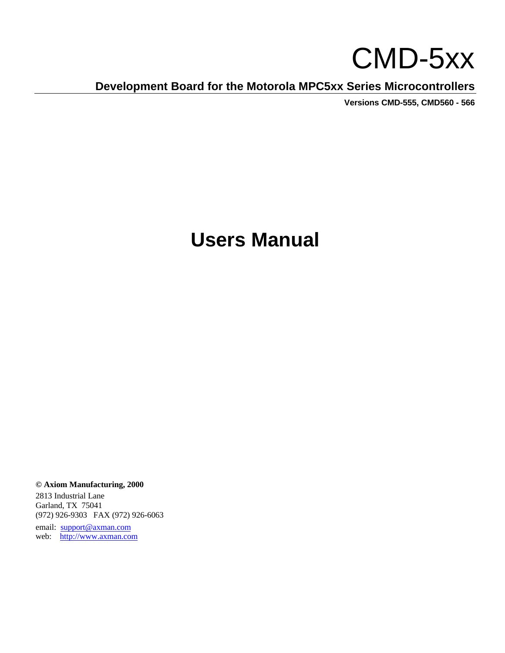# CMD-5xx

**Development Board for the Motorola MPC5xx Series Microcontrollers**

**Versions CMD-555, CMD560 - 566**

## **Users Manual**

**© Axiom Manufacturing, 2000**

2813 Industrial Lane Garland, TX 75041 (972) 926-9303 FAX (972) 926-6063

email: support@axman.com web: http://www.axman.com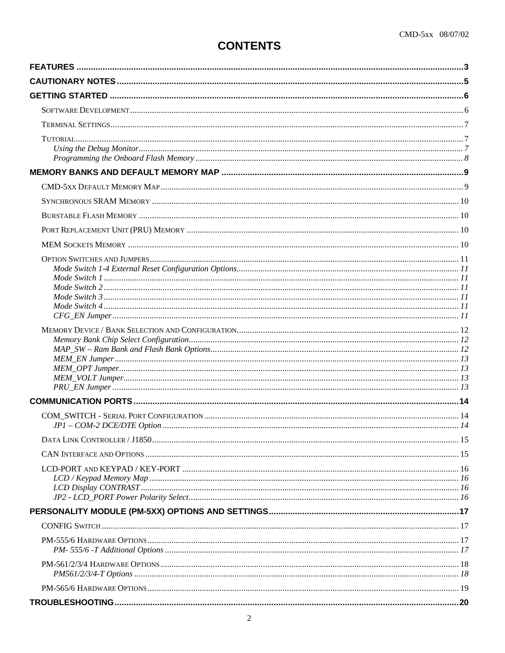## **CONTENTS**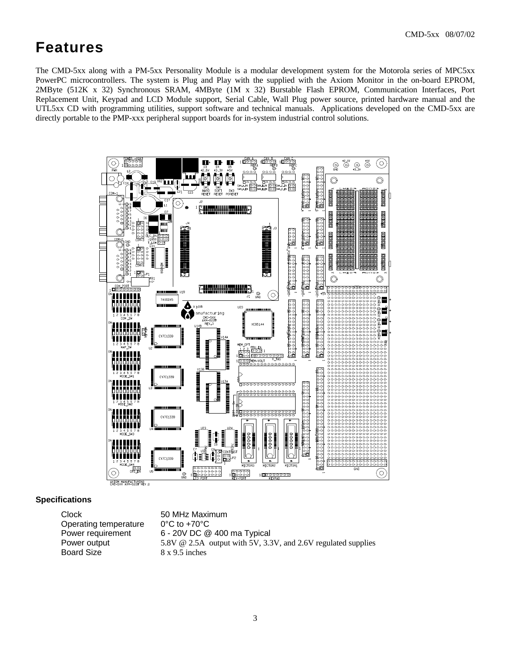## **Features**

The CMD-5xx along with a PM-5xx Personality Module is a modular development system for the Motorola series of MPC5xx PowerPC microcontrollers. The system is Plug and Play with the supplied with the Axiom Monitor in the on-board EPROM, 2MByte (512K x 32) Synchronous SRAM, 4MByte (1M x 32) Burstable Flash EPROM, Communication Interfaces, Port Replacement Unit, Keypad and LCD Module support, Serial Cable, Wall Plug power source, printed hardware manual and the UTL5xx CD with programming utilities, support software and technical manuals. Applications developed on the CMD-5xx are directly portable to the PMP-xxx peripheral support boards for in-system industrial control solutions.



#### **Specifications**

| Clock                 | 50 MHz Maximum                                                |
|-----------------------|---------------------------------------------------------------|
| Operating temperature | $0^{\circ}$ C to +70 $^{\circ}$ C                             |
| Power requirement     | 6 - 20V DC @ 400 ma Typical                                   |
| Power output          | 5.8V @ 2.5A output with 5V, 3.3V, and 2.6V regulated supplies |
| <b>Board Size</b>     | $8 \times 9.5$ inches                                         |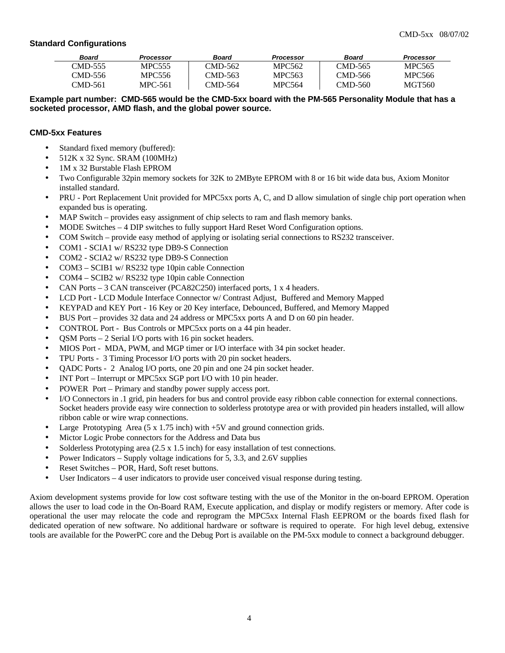#### **Standard Configurations**

| Board   | Processor | Board   | <b>Processor</b> | Board   | <b>Processor</b> |
|---------|-----------|---------|------------------|---------|------------------|
| CMD-555 | MPC555    | CMD-562 | MPC562           | CMD-565 | MPC565           |
| CMD-556 | MPC556    | CMD-563 | MPC563           | CMD-566 | MPC566           |
| CMD-561 | MPC-561   | CMD-564 | MPC564           | CMD-560 | MGT560           |

**Example part number: CMD-565 would be the CMD-5xx board with the PM-565 Personality Module that has a socketed processor, AMD flash, and the global power source.**

#### **CMD-5xx Features**

- Standard fixed memory (buffered):
- 512K x 32 Sync. SRAM (100MHz)
- 1M x 32 Burstable Flash EPROM
- Two Configurable 32pin memory sockets for 32K to 2MByte EPROM with 8 or 16 bit wide data bus, Axiom Monitor installed standard.
- PRU Port Replacement Unit provided for MPC5xx ports A, C, and D allow simulation of single chip port operation when expanded bus is operating.
- MAP Switch provides easy assignment of chip selects to ram and flash memory banks.
- MODE Switches 4 DIP switches to fully support Hard Reset Word Configuration options.
- COM Switch provide easy method of applying or isolating serial connections to RS232 transceiver.
- COM1 SCIA1 w/ RS232 type DB9-S Connection
- COM2 SCIA2 w/ RS232 type DB9-S Connection
- COM3 SCIB1 w/ RS232 type 10pin cable Connection
- COM4 SCIB2 w/ RS232 type 10pin cable Connection
- CAN Ports 3 CAN transceiver (PCA82C250) interfaced ports, 1 x 4 headers.
- LCD Port LCD Module Interface Connector w/ Contrast Adjust, Buffered and Memory Mapped
- KEYPAD and KEY Port 16 Key or 20 Key interface, Debounced, Buffered, and Memory Mapped
- BUS Port provides 32 data and 24 address or MPC5xx ports A and D on 60 pin header.
- CONTROL Port Bus Controls or MPC5xx ports on a 44 pin header.
- QSM Ports 2 Serial I/O ports with 16 pin socket headers.
- MIOS Port MDA, PWM, and MGP timer or I/O interface with 34 pin socket header.
- TPU Ports 3 Timing Processor I/O ports with 20 pin socket headers.
- QADC Ports 2 Analog I/O ports, one 20 pin and one 24 pin socket header.
- INT Port Interrupt or MPC5xx SGP port I/O with 10 pin header.
- POWER Port Primary and standby power supply access port.
- I/O Connectors in .1 grid, pin headers for bus and control provide easy ribbon cable connection for external connections. Socket headers provide easy wire connection to solderless prototype area or with provided pin headers installed, will allow ribbon cable or wire wrap connections.
- Large Prototyping Area  $(5 \times 1.75 \text{ inch})$  with  $+5V$  and ground connection grids.
- Mictor Logic Probe connectors for the Address and Data bus
- Solderless Prototyping area  $(2.5 \times 1.5 \text{ inch})$  for easy installation of test connections.
- Power Indicators Supply voltage indications for 5, 3.3, and 2.6V supplies
- Reset Switches POR, Hard, Soft reset buttons.
- User Indicators 4 user indicators to provide user conceived visual response during testing.

Axiom development systems provide for low cost software testing with the use of the Monitor in the on-board EPROM. Operation allows the user to load code in the On-Board RAM, Execute application, and display or modify registers or memory. After code is operational the user may relocate the code and reprogram the MPC5xx Internal Flash EEPROM or the boards fixed flash for dedicated operation of new software. No additional hardware or software is required to operate. For high level debug, extensive tools are available for the PowerPC core and the Debug Port is available on the PM-5xx module to connect a background debugger.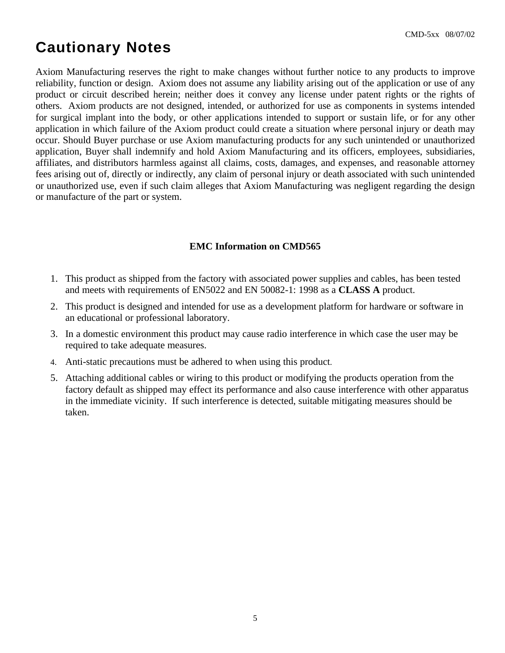## **Cautionary Notes**

Axiom Manufacturing reserves the right to make changes without further notice to any products to improve reliability, function or design. Axiom does not assume any liability arising out of the application or use of any product or circuit described herein; neither does it convey any license under patent rights or the rights of others. Axiom products are not designed, intended, or authorized for use as components in systems intended for surgical implant into the body, or other applications intended to support or sustain life, or for any other application in which failure of the Axiom product could create a situation where personal injury or death may occur. Should Buyer purchase or use Axiom manufacturing products for any such unintended or unauthorized application, Buyer shall indemnify and hold Axiom Manufacturing and its officers, employees, subsidiaries, affiliates, and distributors harmless against all claims, costs, damages, and expenses, and reasonable attorney fees arising out of, directly or indirectly, any claim of personal injury or death associated with such unintended or unauthorized use, even if such claim alleges that Axiom Manufacturing was negligent regarding the design or manufacture of the part or system.

#### **EMC Information on CMD565**

- 1. This product as shipped from the factory with associated power supplies and cables, has been tested and meets with requirements of EN5022 and EN 50082-1: 1998 as a **CLASS A** product.
- 2. This product is designed and intended for use as a development platform for hardware or software in an educational or professional laboratory.
- 3. In a domestic environment this product may cause radio interference in which case the user may be required to take adequate measures.
- 4. Anti-static precautions must be adhered to when using this product.
- 5. Attaching additional cables or wiring to this product or modifying the products operation from the factory default as shipped may effect its performance and also cause interference with other apparatus in the immediate vicinity. If such interference is detected, suitable mitigating measures should be taken.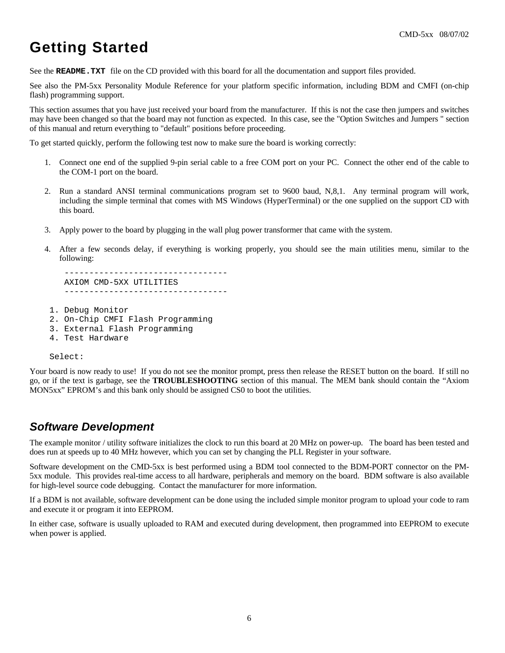## **Getting Started**

See the **README.TXT** file on the CD provided with this board for all the documentation and support files provided.

See also the PM-5xx Personality Module Reference for your platform specific information, including BDM and CMFI (on-chip flash) programming support.

This section assumes that you have just received your board from the manufacturer. If this is not the case then jumpers and switches may have been changed so that the board may not function as expected. In this case, see the "Option Switches and Jumpers " section of this manual and return everything to "default" positions before proceeding.

To get started quickly, perform the following test now to make sure the board is working correctly:

- 1. Connect one end of the supplied 9-pin serial cable to a free COM port on your PC. Connect the other end of the cable to the COM-1 port on the board.
- 2. Run a standard ANSI terminal communications program set to 9600 baud, N,8,1. Any terminal program will work, including the simple terminal that comes with MS Windows (HyperTerminal) or the one supplied on the support CD with this board.
- 3. Apply power to the board by plugging in the wall plug power transformer that came with the system.
- 4. After a few seconds delay, if everything is working properly, you should see the main utilities menu, similar to the following:

 --------------------------------- AXIOM CMD-5XX UTILITIES ---------------------------------

- 1. Debug Monitor
- 2. On-Chip CMFI Flash Programming
- 3. External Flash Programming
- 4. Test Hardware

Select:

Your board is now ready to use! If you do not see the monitor prompt, press then release the RESET button on the board. If still no go, or if the text is garbage, see the **TROUBLESHOOTING** section of this manual. The MEM bank should contain the "Axiom MON5xx" EPROM's and this bank only should be assigned CS0 to boot the utilities.

### *Software Development*

The example monitor / utility software initializes the clock to run this board at 20 MHz on power-up. The board has been tested and does run at speeds up to 40 MHz however, which you can set by changing the PLL Register in your software.

Software development on the CMD-5xx is best performed using a BDM tool connected to the BDM-PORT connector on the PM-5xx module. This provides real-time access to all hardware, peripherals and memory on the board. BDM software is also available for high-level source code debugging. Contact the manufacturer for more information.

If a BDM is not available, software development can be done using the included simple monitor program to upload your code to ram and execute it or program it into EEPROM.

In either case, software is usually uploaded to RAM and executed during development, then programmed into EEPROM to execute when power is applied.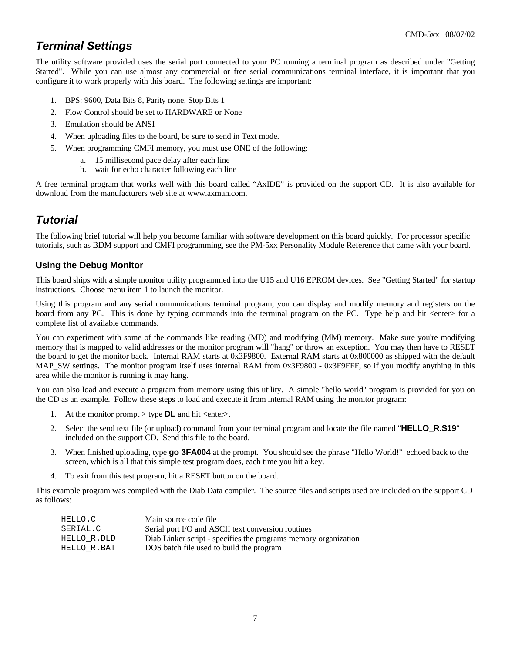## *Terminal Settings*

The utility software provided uses the serial port connected to your PC running a terminal program as described under "Getting Started". While you can use almost any commercial or free serial communications terminal interface, it is important that you configure it to work properly with this board. The following settings are important:

- 1. BPS: 9600, Data Bits 8, Parity none, Stop Bits 1
- 2. Flow Control should be set to HARDWARE or None
- 3. Emulation should be ANSI
- 4. When uploading files to the board, be sure to send in Text mode.
- 5. When programming CMFI memory, you must use ONE of the following:
	- a. 15 millisecond pace delay after each line
	- b. wait for echo character following each line

A free terminal program that works well with this board called "AxIDE" is provided on the support CD. It is also available for download from the manufacturers web site at www.axman.com.

### *Tutorial*

The following brief tutorial will help you become familiar with software development on this board quickly. For processor specific tutorials, such as BDM support and CMFI programming, see the PM-5xx Personality Module Reference that came with your board.

#### **Using the Debug Monitor**

This board ships with a simple monitor utility programmed into the U15 and U16 EPROM devices. See "Getting Started" for startup instructions. Choose menu item 1 to launch the monitor.

Using this program and any serial communications terminal program, you can display and modify memory and registers on the board from any PC. This is done by typing commands into the terminal program on the PC. Type help and hit <enter> for a complete list of available commands.

You can experiment with some of the commands like reading (MD) and modifying (MM) memory. Make sure you're modifying memory that is mapped to valid addresses or the monitor program will "hang" or throw an exception. You may then have to RESET the board to get the monitor back. Internal RAM starts at 0x3F9800. External RAM starts at 0x800000 as shipped with the default MAP\_SW settings. The monitor program itself uses internal RAM from 0x3F9800 - 0x3F9FFF, so if you modify anything in this area while the monitor is running it may hang.

You can also load and execute a program from memory using this utility. A simple "hello world" program is provided for you on the CD as an example. Follow these steps to load and execute it from internal RAM using the monitor program:

- 1. At the monitor prompt  $>$  type **DL** and hit  $\leq$  enter $>$ .
- 2. Select the send text file (or upload) command from your terminal program and locate the file named "**HELLO\_R.S19**" included on the support CD. Send this file to the board.
- 3. When finished uploading, type **go 3FA004** at the prompt. You should see the phrase "Hello World!" echoed back to the screen, which is all that this simple test program does, each time you hit a key.
- 4. To exit from this test program, hit a RESET button on the board.

This example program was compiled with the Diab Data compiler. The source files and scripts used are included on the support CD as follows:

| HELLO.C     | Main source code file                                           |
|-------------|-----------------------------------------------------------------|
| SERIAL.C    | Serial port I/O and ASCII text conversion routines              |
| HELLO R.DLD | Diab Linker script - specifies the programs memory organization |
| HELLO R.BAT | DOS batch file used to build the program                        |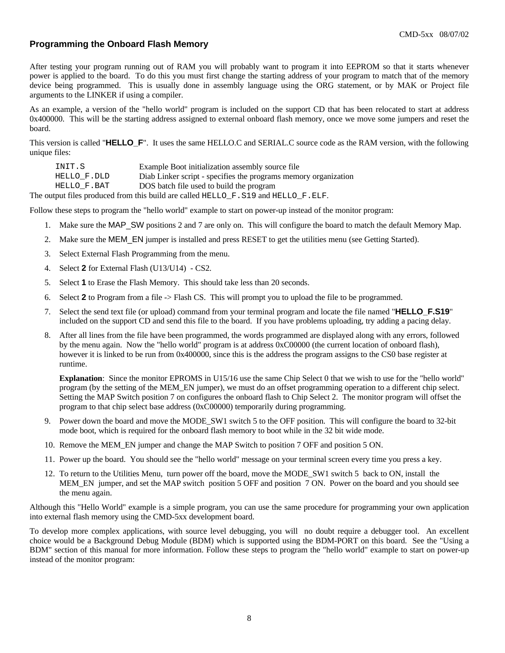#### **Programming the Onboard Flash Memory**

After testing your program running out of RAM you will probably want to program it into EEPROM so that it starts whenever power is applied to the board. To do this you must first change the starting address of your program to match that of the memory device being programmed. This is usually done in assembly language using the ORG statement, or by MAK or Project file arguments to the LINKER if using a compiler.

As an example, a version of the "hello world" program is included on the support CD that has been relocated to start at address 0x400000. This will be the starting address assigned to external onboard flash memory, once we move some jumpers and reset the board.

This version is called "**HELLO\_F**". It uses the same HELLO.C and SERIAL.C source code as the RAM version, with the following unique files:

| INIT.S      | Example Boot initialization assembly source file                |
|-------------|-----------------------------------------------------------------|
| HELLO F.DLD | Diab Linker script - specifies the programs memory organization |
| HELLO F.BAT | DOS batch file used to build the program                        |
|             |                                                                 |

The output files produced from this build are called HELLO\_F.S19 and HELLO\_F.ELF.

Follow these steps to program the "hello world" example to start on power-up instead of the monitor program:

- 1. Make sure the MAP\_SW positions 2 and 7 are only on. This will configure the board to match the default Memory Map.
- 2. Make sure the MEM\_EN jumper is installed and press RESET to get the utilities menu (see Getting Started).
- 3. Select External Flash Programming from the menu.
- 4. Select **2** for External Flash (U13/U14) CS2.
- 5. Select **1** to Erase the Flash Memory. This should take less than 20 seconds.
- 6. Select **2** to Program from a file -> Flash CS. This will prompt you to upload the file to be programmed.
- 7. Select the send text file (or upload) command from your terminal program and locate the file named "**HELLO\_F.S19**" included on the support CD and send this file to the board. If you have problems uploading, try adding a pacing delay.
- 8. After all lines from the file have been programmed, the words programmed are displayed along with any errors, followed by the menu again. Now the "hello world" program is at address 0xC00000 (the current location of onboard flash), however it is linked to be run from 0x400000, since this is the address the program assigns to the CS0 base register at runtime.

**Explanation**: Since the monitor EPROMS in U15/16 use the same Chip Select 0 that we wish to use for the "hello world" program (by the setting of the MEM\_EN jumper), we must do an offset programming operation to a different chip select. Setting the MAP Switch position 7 on configures the onboard flash to Chip Select 2. The monitor program will offset the program to that chip select base address (0xC00000) temporarily during programming.

- 9. Power down the board and move the MODE\_SW1 switch 5 to the OFF position. This will configure the board to 32-bit mode boot, which is required for the onboard flash memory to boot while in the 32 bit wide mode.
- 10. Remove the MEM\_EN jumper and change the MAP Switch to position 7 OFF and position 5 ON.
- 11. Power up the board. You should see the "hello world" message on your terminal screen every time you press a key.
- 12. To return to the Utilities Menu, turn power off the board, move the MODE\_SW1 switch 5 back to ON, install the MEM\_EN jumper, and set the MAP switch position 5 OFF and position 7 ON. Power on the board and you should see the menu again.

Although this "Hello World" example is a simple program, you can use the same procedure for programming your own application into external flash memory using the CMD-5xx development board.

To develop more complex applications, with source level debugging, you will no doubt require a debugger tool. An excellent choice would be a Background Debug Module (BDM) which is supported using the BDM-PORT on this board. See the "Using a BDM" section of this manual for more information. Follow these steps to program the "hello world" example to start on power-up instead of the monitor program: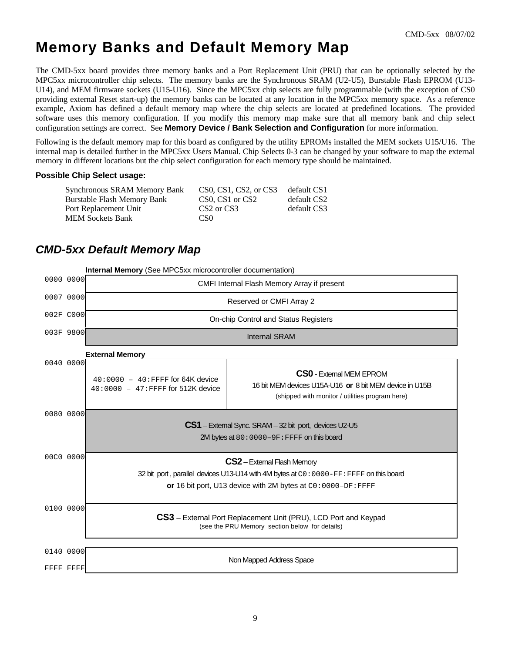## **Memory Banks and Default Memory Map**

The CMD-5xx board provides three memory banks and a Port Replacement Unit (PRU) that can be optionally selected by the MPC5xx microcontroller chip selects. The memory banks are the Synchronous SRAM (U2-U5), Burstable Flash EPROM (U13- U14), and MEM firmware sockets (U15-U16). Since the MPC5xx chip selects are fully programmable (with the exception of CS0 providing external Reset start-up) the memory banks can be located at any location in the MPC5xx memory space. As a reference example, Axiom has defined a default memory map where the chip selects are located at predefined locations. The provided software uses this memory configuration. If you modify this memory map make sure that all memory bank and chip select configuration settings are correct. See **Memory Device / Bank Selection and Configuration** for more information.

Following is the default memory map for this board as configured by the utility EPROMs installed the MEM sockets U15/U16. The internal map is detailed further in the MPC5xx Users Manual. Chip Selects 0-3 can be changed by your software to map the external memory in different locations but the chip select configuration for each memory type should be maintained.

#### **Possible Chip Select usage:**

| Synchronous SRAM Memory Bank | CS0, CS1, CS2, or CS3              | default CS1 |
|------------------------------|------------------------------------|-------------|
| Burstable Flash Memory Bank  | CS0, CS1 or CS2                    | default CS2 |
| Port Replacement Unit        | CS <sub>2</sub> or CS <sub>3</sub> | default CS3 |
| <b>MEM Sockets Bank</b>      | CS <sub>0</sub>                    |             |

### *CMD-5xx Default Memory Map*

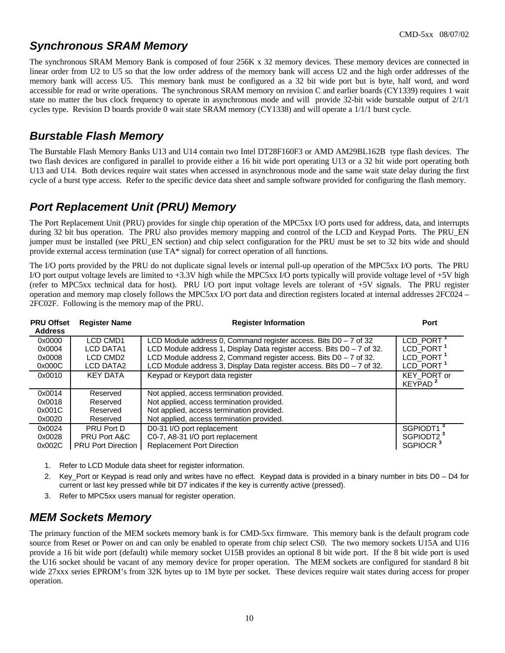## *Synchronous SRAM Memory*

The synchronous SRAM Memory Bank is composed of four 256K x 32 memory devices. These memory devices are connected in linear order from U2 to U5 so that the low order address of the memory bank will access U2 and the high order addresses of the memory bank will access U5. This memory bank must be configured as a 32 bit wide port but is byte, half word, and word accessible for read or write operations. The synchronous SRAM memory on revision C and earlier boards (CY1339) requires 1 wait state no matter the bus clock frequency to operate in asynchronous mode and will provide 32-bit wide burstable output of 2/1/1 cycles type. Revision D boards provide 0 wait state SRAM memory (CY1338) and will operate a 1/1/1 burst cycle.

## *Burstable Flash Memory*

The Burstable Flash Memory Banks U13 and U14 contain two Intel DT28F160F3 or AMD AM29BL162B type flash devices. The two flash devices are configured in parallel to provide either a 16 bit wide port operating U13 or a 32 bit wide port operating both U13 and U14. Both devices require wait states when accessed in asynchronous mode and the same wait state delay during the first cycle of a burst type access. Refer to the specific device data sheet and sample software provided for configuring the flash memory.

## *Port Replacement Unit (PRU) Memory*

The Port Replacement Unit (PRU) provides for single chip operation of the MPC5xx I/O ports used for address, data, and interrupts during 32 bit bus operation. The PRU also provides memory mapping and control of the LCD and Keypad Ports. The PRU EN jumper must be installed (see PRU\_EN section) and chip select configuration for the PRU must be set to 32 bits wide and should provide external access termination (use TA\* signal) for correct operation of all functions.

The I/O ports provided by the PRU do not duplicate signal levels or internal pull-up operation of the MPC5xx I/O ports. The PRU I/O port output voltage levels are limited to  $+3.3V$  high while the MPC5xx I/O ports typically will provide voltage level of  $+5V$  high (refer to MPC5xx technical data for host). PRU I/O port input voltage levels are tolerant of +5V signals. The PRU register operation and memory map closely follows the MPC5xx I/O port data and direction registers located at internal addresses 2FC024 – 2FC02F. Following is the memory map of the PRU.

| <b>PRU Offset</b><br><b>Address</b> | <b>Register Name</b>                     | <b>Register Information</b>                                                                                                                                                                                       | Port                                                                    |
|-------------------------------------|------------------------------------------|-------------------------------------------------------------------------------------------------------------------------------------------------------------------------------------------------------------------|-------------------------------------------------------------------------|
| 0x0000<br>0x0004<br>0x0008          | LCD CMD1<br><b>LCD DATA1</b><br>LCD CMD2 | LCD Module address 0, Command register access. Bits $D0 - 7$ of 32<br>LCD Module address 1, Display Data register access. Bits D0 - 7 of 32.<br>LCD Module address 2, Command register access. Bits D0 - 7 of 32. | LCD PORT <sup>1</sup><br>LCD PORT <sup>1</sup><br>LCD_PORT <sup>1</sup> |
| 0x000C                              | LCD DATA2                                | LCD Module address 3, Display Data register access. Bits D0 - 7 of 32.                                                                                                                                            | LCD_PORT <sup>1</sup>                                                   |
| 0x0010                              | <b>KEY DATA</b>                          | Keypad or Keyport data register                                                                                                                                                                                   | KEY_PORT or<br>KEYPAD <sup>2</sup>                                      |
| 0x0014                              | Reserved                                 | Not applied, access termination provided.                                                                                                                                                                         |                                                                         |
| 0x0018                              | Reserved                                 | Not applied, access termination provided.                                                                                                                                                                         |                                                                         |
| 0x001C                              | Reserved                                 | Not applied, access termination provided.                                                                                                                                                                         |                                                                         |
| 0x0020                              | Reserved                                 | Not applied, access termination provided.                                                                                                                                                                         |                                                                         |
| 0x0024                              | PRU Port D                               | D0-31 I/O port replacement                                                                                                                                                                                        | SGPIODT1 <sup>3</sup>                                                   |
| 0x0028                              | <b>PRU Port A&amp;C</b>                  | C0-7, A8-31 I/O port replacement                                                                                                                                                                                  | SGPIODT2 <sup>3</sup>                                                   |
| 0x002C                              | <b>PRU Port Direction</b>                | <b>Replacement Port Direction</b>                                                                                                                                                                                 | SGPIOCR <sup>3</sup>                                                    |

- 1. Refer to LCD Module data sheet for register information.
- 2. Key\_Port or Keypad is read only and writes have no effect. Keypad data is provided in a binary number in bits D0 D4 for current or last key pressed while bit D7 indicates if the key is currently active (pressed).
- 3. Refer to MPC5xx users manual for register operation.

## *MEM Sockets Memory*

The primary function of the MEM sockets memory bank is for CMD-5xx firmware. This memory bank is the default program code source from Reset or Power on and can only be enabled to operate from chip select CS0. The two memory sockets U15A and U16 provide a 16 bit wide port (default) while memory socket U15B provides an optional 8 bit wide port. If the 8 bit wide port is used the U16 socket should be vacant of any memory device for proper operation. The MEM sockets are configured for standard 8 bit wide 27xxx series EPROM's from 32K bytes up to 1M byte per socket. These devices require wait states during access for proper operation.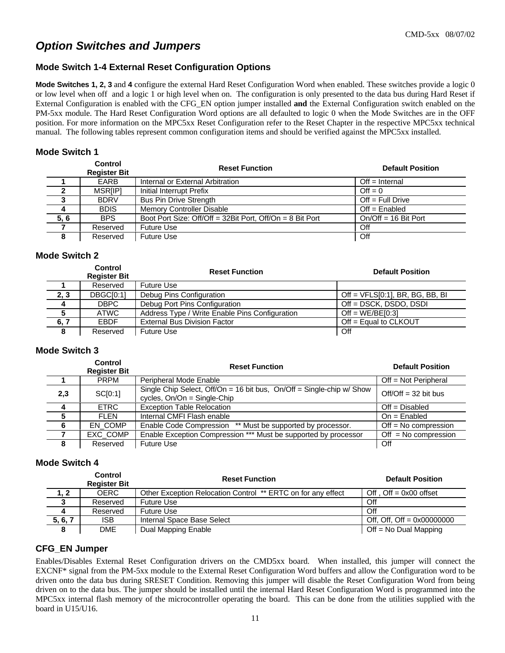## *Option Switches and Jumpers*

#### **Mode Switch 1-4 External Reset Configuration Options**

**Mode Switches 1, 2, 3** and **4** configure the external Hard Reset Configuration Word when enabled. These switches provide a logic 0 or low level when off and a logic 1 or high level when on. The configuration is only presented to the data bus during Hard Reset if External Configuration is enabled with the CFG\_EN option jumper installed **and** the External Configuration switch enabled on the PM-5xx module. The Hard Reset Configuration Word options are all defaulted to logic 0 when the Mode Switches are in the OFF position. For more information on the MPC5xx Reset Configuration refer to the Reset Chapter in the respective MPC5xx technical manual. The following tables represent common configuration items and should be verified against the MPC5xx installed.

#### **Mode Switch 1**

|      | Control<br><b>Register Bit</b> | <b>Reset Function</b>                                     | <b>Default Position</b> |
|------|--------------------------------|-----------------------------------------------------------|-------------------------|
|      | EARB                           | Internal or External Arbitration                          | $Off = Internal$        |
|      | <b>MSRIIPI</b>                 | Initial Interrupt Prefix                                  | $Off = 0$               |
|      | <b>BDRV</b>                    | <b>Bus Pin Drive Strength</b>                             | $Off = Full Drive$      |
|      | <b>BDIS</b>                    | <b>Memory Controller Disable</b>                          | $Off = Enable$          |
| 5, 6 | <b>BPS</b>                     | Boot Port Size: Off/Off = 32Bit Port, Off/On = 8 Bit Port | $On/Off = 16$ Bit Port  |
|      | Reserved                       | <b>Future Use</b>                                         | Off                     |
|      | Reserved                       | <b>Future Use</b>                                         | Off                     |

#### **Mode Switch 2**

|      | Control<br><b>Register Bit</b> | <b>Reset Function</b>                          | <b>Default Position</b>            |
|------|--------------------------------|------------------------------------------------|------------------------------------|
|      | Reserved                       | Future Use                                     |                                    |
| 2, 3 | DBGC[0:1]                      | Debug Pins Configuration                       | Off = $VFLS[0:1]$ , BR, BG, BB, BI |
| 4    | <b>DBPC</b>                    | Debug Port Pins Configuration                  | Off = DSCK, DSDO, DSDI             |
|      | ATWC                           | Address Type / Write Enable Pins Configuration | Off = $WE/BE[0:3]$                 |
| 6, 7 | <b>FBDF</b>                    | <b>External Bus Division Factor</b>            | $Off = Equal to CLKOUT$            |
|      | Reserved                       | <b>Future Use</b>                              | Off                                |

#### **Mode Switch 3**

|                | Control<br><b>Register Bit</b> | <b>Reset Function</b>                                                                                | <b>Default Position</b> |
|----------------|--------------------------------|------------------------------------------------------------------------------------------------------|-------------------------|
|                | <b>PRPM</b>                    | Peripheral Mode Enable                                                                               | $Off = Not Peripheral$  |
| 2,3            | SC[0:1]                        | Single Chip Select, Off/On = 16 bit bus, On/Off = Single-chip w/ Show<br>cycles, On/On = Single-Chip | $Off/Off = 32$ bit bus  |
| $\overline{4}$ | <b>ETRC</b>                    | <b>Exception Table Relocation</b>                                                                    | $Off = Disabled$        |
| 5              | <b>FLEN</b>                    | Internal CMFI Flash enable                                                                           | $On = E$ nabled         |
| -6             | EN_COMP                        | Enable Code Compression ** Must be supported by processor.                                           | $Off = No$ compression  |
|                | EXC_COMP                       | Enable Exception Compression *** Must be supported by processor                                      | $Off = No$ compression  |
| 8              | Reserved                       | <b>Future Use</b>                                                                                    | Off                     |

#### **Mode Switch 4**

|         | Control<br><b>Register Bit</b> | <b>Default Position</b><br><b>Reset Function</b>             |                              |  |  |
|---------|--------------------------------|--------------------------------------------------------------|------------------------------|--|--|
| 1, 2    | <b>OERC</b>                    | Other Exception Relocation Control ** ERTC on for any effect | Off, $Off = 0x00$ offset     |  |  |
| د       | Reserved                       | <b>Future Use</b>                                            | Off                          |  |  |
|         | Reserved                       | <b>Future Use</b>                                            | Off                          |  |  |
| 5, 6, 7 | <b>ISB</b>                     | Internal Space Base Select                                   | Off, Off, Off = $0x00000000$ |  |  |
|         | <b>DME</b>                     | Dual Mapping Enable                                          | $Off = No Dual Mapping$      |  |  |

#### **CFG\_EN Jumper**

Enables/Disables External Reset Configuration drivers on the CMD5xx board. When installed, this jumper will connect the EXCNF\* signal from the PM-5xx module to the External Reset Configuration Word buffers and allow the Configuration word to be driven onto the data bus during SRESET Condition. Removing this jumper will disable the Reset Configuration Word from being driven on to the data bus. The jumper should be installed until the internal Hard Reset Configuration Word is programmed into the MPC5xx internal flash memory of the microcontroller operating the board. This can be done from the utilities supplied with the board in U15/U16.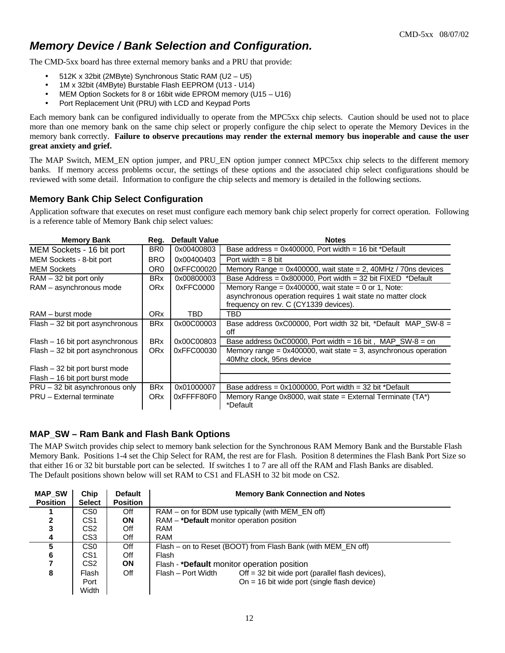## *Memory Device / Bank Selection and Configuration.*

The CMD-5xx board has three external memory banks and a PRU that provide:

- 512K x 32bit (2MByte) Synchronous Static RAM (U2 U5)
- 1M x 32bit (4MByte) Burstable Flash EEPROM (U13 U14)
- MEM Option Sockets for 8 or 16bit wide EPROM memory (U15 U16)
- Port Replacement Unit (PRU) with LCD and Keypad Ports

Each memory bank can be configured individually to operate from the MPC5xx chip selects. Caution should be used not to place more than one memory bank on the same chip select or properly configure the chip select to operate the Memory Devices in the memory bank correctly. **Failure to observe precautions may render the external memory bus inoperable and cause the user great anxiety and grief.**

The MAP Switch, MEM\_EN option jumper, and PRU\_EN option jumper connect MPC5xx chip selects to the different memory banks. If memory access problems occur, the settings of these options and the associated chip select configurations should be reviewed with some detail. Information to configure the chip selects and memory is detailed in the following sections.

#### **Memory Bank Chip Select Configuration**

Application software that executes on reset must configure each memory bank chip select properly for correct operation. Following is a reference table of Memory Bank chip select values:

| <b>Memory Bank</b>               | Reg.                  | <b>Default Value</b> | <b>Notes</b>                                                                                                                                                    |
|----------------------------------|-----------------------|----------------------|-----------------------------------------------------------------------------------------------------------------------------------------------------------------|
| MEM Sockets - 16 bit port        | BR <sub>0</sub>       | 0x00400803           | Base address = $0x400000$ , Port width = 16 bit *Default                                                                                                        |
| MEM Sockets - 8-bit port         | <b>BRO</b>            | 0x00400403           | Port width $= 8$ bit                                                                                                                                            |
| <b>MEM Sockets</b>               | OR <sub>0</sub>       | 0xFFC00020           | Memory Range = $0x400000$ , wait state = 2, 40MHz / 70ns devices                                                                                                |
| $RAM - 32 bit port only$         | <b>BRx</b>            | 0x00800003           | Base Address = $0x800000$ , Port width = 32 bit FIXED *Default                                                                                                  |
| RAM - asynchronous mode          | ORx                   | 0xFFC0000            | Memory Range = $0x400000$ , wait state = 0 or 1, Note:<br>asynchronous operation requires 1 wait state no matter clock<br>frequency on rev. C (CY1339 devices). |
| RAM – burst mode                 | ORx                   | TBD                  | TBD                                                                                                                                                             |
| Flash – 32 bit port asynchronous | <b>BR<sub>x</sub></b> | 0x00C00003           | Base address 0xC00000, Port width 32 bit, *Default MAP SW-8 $=$<br>off                                                                                          |
| Flash – 16 bit port asynchronous | <b>BRx</b>            | 0x00C00803           | Base address $0xC00000$ , Port width = 16 bit, MAP SW-8 = on                                                                                                    |
| Flash - 32 bit port asynchronous | <b>ORx</b>            | 0xFFC00030           | Memory range = $0x400000$ , wait state = 3, asynchronous operation<br>40Mhz clock, 95ns device                                                                  |
| Flash – 32 bit port burst mode   |                       |                      |                                                                                                                                                                 |
| Flash – 16 bit port burst mode   |                       |                      |                                                                                                                                                                 |
| $PRU - 32$ bit asynchronous only | <b>BR<sub>x</sub></b> | 0x01000007           | Base address = $0x1000000$ . Port width = 32 bit *Default                                                                                                       |
| PRU - External terminate         | <b>ORx</b>            | 0xFFFF80F0           | Memory Range 0x8000, wait state = External Terminate $(TA^*)$<br>*Default                                                                                       |

#### **MAP\_SW – Ram Bank and Flash Bank Options**

The MAP Switch provides chip select to memory bank selection for the Synchronous RAM Memory Bank and the Burstable Flash Memory Bank. Positions 1-4 set the Chip Select for RAM, the rest are for Flash. Position 8 determines the Flash Bank Port Size so that either 16 or 32 bit burstable port can be selected. If switches 1 to 7 are all off the RAM and Flash Banks are disabled. The Default positions shown below will set RAM to CS1 and FLASH to 32 bit mode on CS2.

| <b>MAP SW</b><br><b>Position</b> | Chip<br><b>Select</b> | <b>Default</b><br><b>Position</b> | <b>Memory Bank Connection and Notes</b>                                  |  |  |
|----------------------------------|-----------------------|-----------------------------------|--------------------------------------------------------------------------|--|--|
|                                  | CS <sub>0</sub>       | Off                               | RAM – on for BDM use typically (with MEM_EN off)                         |  |  |
|                                  | CS <sub>1</sub>       | ON                                | RAM - * <b>Default</b> monitor operation position                        |  |  |
| 3                                | CS <sub>2</sub>       | Off                               | RAM                                                                      |  |  |
| 4                                | CS <sub>3</sub>       | Off                               | <b>RAM</b>                                                               |  |  |
| 5                                | CS <sub>0</sub>       | Off                               | Flash – on to Reset (BOOT) from Flash Bank (with MEM EN off)             |  |  |
| 6                                | CS <sub>1</sub>       | Off                               | Flash                                                                    |  |  |
|                                  | CS <sub>2</sub>       | <b>ON</b>                         | Flash - * <b>Default</b> monitor operation position                      |  |  |
| 8                                | Flash                 | Off                               | Flash - Port Width<br>Off $=$ 32 bit wide port (parallel flash devices), |  |  |
|                                  | Port                  |                                   | $On = 16$ bit wide port (single flash device)                            |  |  |
|                                  | Width                 |                                   |                                                                          |  |  |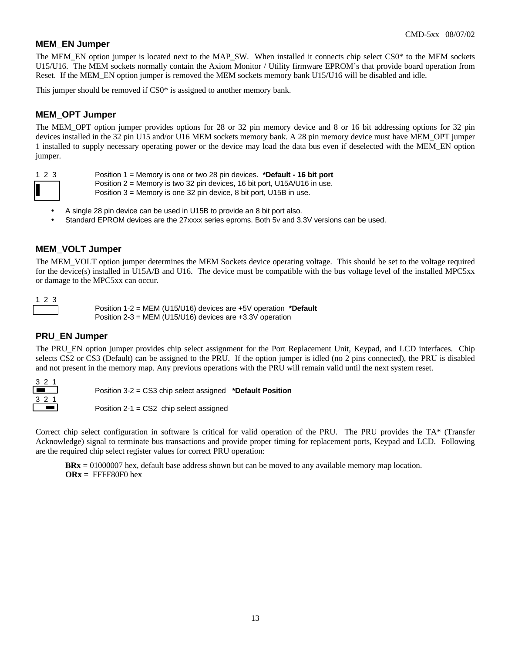#### **MEM\_EN Jumper**

The MEM\_EN option jumper is located next to the MAP\_SW. When installed it connects chip select CS0\* to the MEM sockets U15/U16. The MEM sockets normally contain the Axiom Monitor / Utility firmware EPROM's that provide board operation from Reset. If the MEM\_EN option jumper is removed the MEM sockets memory bank U15/U16 will be disabled and idle.

This jumper should be removed if CS0\* is assigned to another memory bank.

#### **MEM\_OPT Jumper**

The MEM\_OPT option jumper provides options for 28 or 32 pin memory device and 8 or 16 bit addressing options for 32 pin devices installed in the 32 pin U15 and/or U16 MEM sockets memory bank. A 28 pin memory device must have MEM\_OPT jumper 1 installed to supply necessary operating power or the device may load the data bus even if deselected with the MEM\_EN option jumper.

- 1 2 3 Position 1 = Memory is one or two 28 pin devices. **\*Default 16 bit port**
	- Position 2 = Memory is two 32 pin devices, 16 bit port, U15A/U16 in use.
		- • Position 3 = Memory is one 32 pin device, 8 bit port, U15B in use.
	- A single 28 pin device can be used in U15B to provide an 8 bit port also.
	- Standard EPROM devices are the 27xxxx series eproms. Both 5v and 3.3V versions can be used.

#### **MEM\_VOLT Jumper**

The MEM\_VOLT option jumper determines the MEM Sockets device operating voltage. This should be set to the voltage required for the device(s) installed in U15A/B and U16. The device must be compatible with the bus voltage level of the installed MPC5xx or damage to the MPC5xx can occur.

1 2 3

• • • Position 1-2 = MEM (U15/U16) devices are +5V operation **\*Default** Position 2-3 = MEM (U15/U16) devices are +3.3V operation

#### **PRU\_EN Jumper**

The PRU\_EN option jumper provides chip select assignment for the Port Replacement Unit, Keypad, and LCD interfaces. Chip selects CS2 or CS3 (Default) can be assigned to the PRU. If the option jumper is idled (no 2 pins connected), the PRU is disabled and not present in the memory map. Any previous operations with the PRU will remain valid until the next system reset.



• • • Position 3-2 = CS3 chip select assigned **\*Default Position**

 $\blacksquare$  Position 2-1 = CS2 chip select assigned

Correct chip select configuration in software is critical for valid operation of the PRU. The PRU provides the TA\* (Transfer Acknowledge) signal to terminate bus transactions and provide proper timing for replacement ports, Keypad and LCD. Following are the required chip select register values for correct PRU operation:

**BRx =** 01000007 hex, default base address shown but can be moved to any available memory map location. **ORx =** FFFF80F0 hex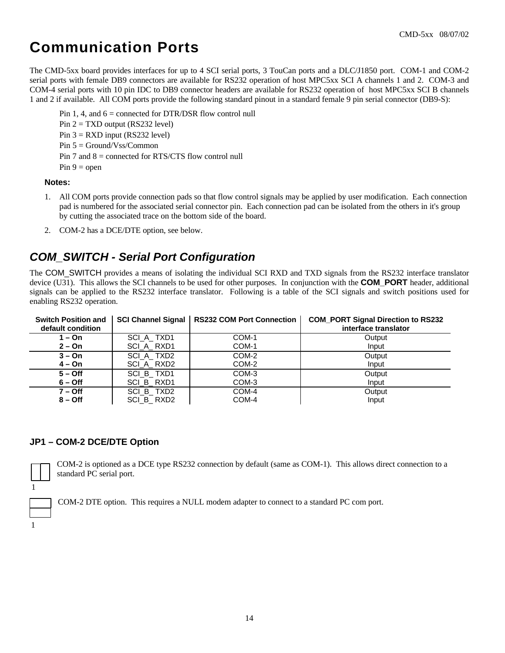## **Communication Ports**

The CMD-5xx board provides interfaces for up to 4 SCI serial ports, 3 TouCan ports and a DLC/J1850 port. COM-1 and COM-2 serial ports with female DB9 connectors are available for RS232 operation of host MPC5xx SCI A channels 1 and 2. COM-3 and COM-4 serial ports with 10 pin IDC to DB9 connector headers are available for RS232 operation of host MPC5xx SCI B channels 1 and 2 if available. All COM ports provide the following standard pinout in a standard female 9 pin serial connector (DB9-S):

Pin 1, 4, and  $6 =$  connected for DTR/DSR flow control null Pin  $2 = TXD$  output (RS232 level) Pin  $3 = RXD$  input (RS232 level) Pin 5 = Ground/Vss/Common Pin 7 and  $8 =$  connected for RTS/CTS flow control null  $Pin 9 = open$ 

#### **Notes:**

- 1. All COM ports provide connection pads so that flow control signals may be applied by user modification. Each connection pad is numbered for the associated serial connector pin. Each connection pad can be isolated from the others in it's group by cutting the associated trace on the bottom side of the board.
- 2. COM-2 has a DCE/DTE option, see below.

## *COM\_SWITCH - Serial Port Configuration*

The COM SWITCH provides a means of isolating the individual SCI RXD and TXD signals from the RS232 interface translator device (U31). This allows the SCI channels to be used for other purposes. In conjunction with the **COM\_PORT** header, additional signals can be applied to the RS232 interface translator. Following is a table of the SCI signals and switch positions used for enabling RS232 operation.

| <b>Switch Position and</b><br>default condition |            | SCI Channel Signal   RS232 COM Port Connection | <b>COM_PORT Signal Direction to RS232</b><br>interface translator |
|-------------------------------------------------|------------|------------------------------------------------|-------------------------------------------------------------------|
| 1 – On                                          | SCI A TXD1 | COM-1                                          | Output                                                            |
| $2 - On$                                        | SCI A RXD1 | COM-1                                          | Input                                                             |
| $3 - On$                                        | SCI_A_TXD2 | COM-2                                          | Output                                                            |
| 4 – On                                          | SCI A RXD2 | COM-2                                          | Input                                                             |
| $5 -$ Off                                       | SCI B_TXD1 | COM-3                                          | Output                                                            |
| $6 -$ Off                                       | SCI B RXD1 | COM-3                                          | Input                                                             |
| $7 -$ Off                                       | SCI_B_TXD2 | COM-4                                          | Output                                                            |
| $8 -$ Off                                       | SCI_B_RXD2 | COM-4                                          | Input                                                             |

#### **JP1 – COM-2 DCE/DTE Option**

COM-2 is optioned as a DCE type RS232 connection by default (same as COM-1). This allows direct connection to a standard PC serial port.

COM-2 DTE option. This requires a NULL modem adapter to connect to a standard PC com port.

1

1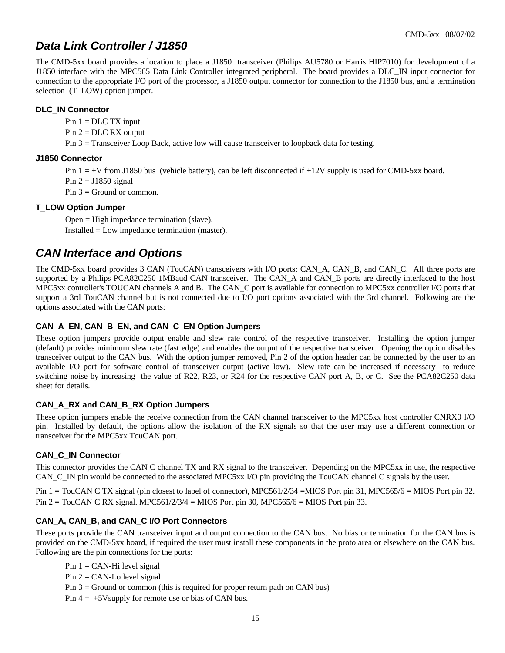## *Data Link Controller / J1850*

The CMD-5xx board provides a location to place a J1850 transceiver (Philips AU5780 or Harris HIP7010) for development of a J1850 interface with the MPC565 Data Link Controller integrated peripheral. The board provides a DLC\_IN input connector for connection to the appropriate I/O port of the processor, a J1850 output connector for connection to the J1850 bus, and a termination selection (T\_LOW) option jumper.

#### **DLC\_IN Connector**

 $Pin 1 = DLC TX input$ 

 $Pin 2 = DLC RX$  output

Pin 3 = Transceiver Loop Back, active low will cause transceiver to loopback data for testing.

#### **J1850 Connector**

Pin  $1 = +V$  from J1850 bus (vehicle battery), can be left disconnected if  $+12V$  supply is used for CMD-5xx board.

Pin  $2 = J1850$  signal

Pin  $3 =$  Ground or common.

#### **T\_LOW Option Jumper**

Open = High impedance termination (slave). Installed = Low impedance termination (master).

### *CAN Interface and Options*

The CMD-5xx board provides 3 CAN (TouCAN) transceivers with I/O ports: CAN\_A, CAN\_B, and CAN\_C. All three ports are supported by a Philips PCA82C250 1MBaud CAN transceiver. The CAN\_A and CAN\_B ports are directly interfaced to the host MPC5xx controller's TOUCAN channels A and B. The CAN\_C port is available for connection to MPC5xx controller I/O ports that support a 3rd TouCAN channel but is not connected due to I/O port options associated with the 3rd channel. Following are the options associated with the CAN ports:

#### **CAN\_A\_EN, CAN\_B\_EN, and CAN\_C\_EN Option Jumpers**

These option jumpers provide output enable and slew rate control of the respective transceiver. Installing the option jumper (default) provides minimum slew rate (fast edge) and enables the output of the respective transceiver. Opening the option disables transceiver output to the CAN bus. With the option jumper removed, Pin 2 of the option header can be connected by the user to an available I/O port for software control of transceiver output (active low). Slew rate can be increased if necessary to reduce switching noise by increasing the value of R22, R23, or R24 for the respective CAN port A, B, or C. See the PCA82C250 data sheet for details.

#### **CAN\_A\_RX and CAN\_B\_RX Option Jumpers**

These option jumpers enable the receive connection from the CAN channel transceiver to the MPC5xx host controller CNRX0 I/O pin. Installed by default, the options allow the isolation of the RX signals so that the user may use a different connection or transceiver for the MPC5xx TouCAN port.

#### **CAN\_C\_IN Connector**

This connector provides the CAN C channel TX and RX signal to the transceiver. Depending on the MPC5xx in use, the respective CAN\_C\_IN pin would be connected to the associated MPC5xx I/O pin providing the TouCAN channel C signals by the user.

Pin 1 = TouCAN C TX signal (pin closest to label of connector), MPC561/2/34 = MIOS Port pin 31, MPC565/6 = MIOS Port pin 32. Pin  $2 = \text{TourCAN C RX signal}$ . MPC561/2/3/4 = MIOS Port pin 30, MPC565/6 = MIOS Port pin 33.

#### **CAN\_A, CAN\_B, and CAN\_C I/O Port Connectors**

These ports provide the CAN transceiver input and output connection to the CAN bus. No bias or termination for the CAN bus is provided on the CMD-5xx board, if required the user must install these components in the proto area or elsewhere on the CAN bus. Following are the pin connections for the ports:

Pin  $1 = CAN-Hi$  level signal

Pin  $2 = CAN$ -Lo level signal

Pin  $3 =$  Ground or common (this is required for proper return path on CAN bus)

Pin  $4 = +5V$ supply for remote use or bias of CAN bus.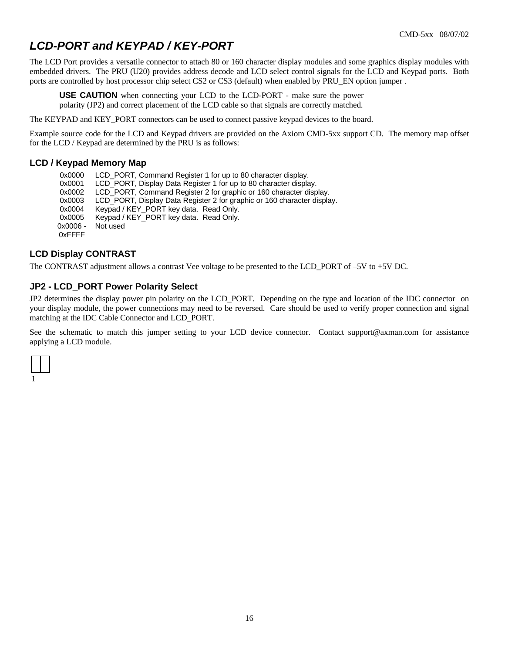## *LCD-PORT and KEYPAD / KEY-PORT*

The LCD Port provides a versatile connector to attach 80 or 160 character display modules and some graphics display modules with embedded drivers. The PRU (U20) provides address decode and LCD select control signals for the LCD and Keypad ports. Both ports are controlled by host processor chip select CS2 or CS3 (default) when enabled by PRU\_EN option jumper .

**USE CAUTION** when connecting your LCD to the LCD-PORT - make sure the power polarity (JP2) and correct placement of the LCD cable so that signals are correctly matched.

The KEYPAD and KEY\_PORT connectors can be used to connect passive keypad devices to the board.

Example source code for the LCD and Keypad drivers are provided on the Axiom CMD-5xx support CD. The memory map offset for the LCD / Keypad are determined by the PRU is as follows:

#### **LCD / Keypad Memory Map**

0x0000 LCD PORT, Command Register 1 for up to 80 character display. 0x0001 LCD\_PORT, Display Data Register 1 for up to 80 character display. 0x0002 LCD\_PORT, Command Register 2 for graphic or 160 character display. 0x0003 LCD\_PORT, Display Data Register 2 for graphic or 160 character display. 0x0004 Keypad / KEY\_PORT key data. Read Only. 0x0005 Keypad / KEY\_PORT key data. Read Only. 0x0006 - 0xFFFF Not used

#### **LCD Display CONTRAST**

The CONTRAST adjustment allows a contrast Vee voltage to be presented to the LCD\_PORT of –5V to +5V DC.

#### **JP2 - LCD\_PORT Power Polarity Select**

JP2 determines the display power pin polarity on the LCD\_PORT. Depending on the type and location of the IDC connector on your display module, the power connections may need to be reversed. Care should be used to verify proper connection and signal matching at the IDC Cable Connector and LCD\_PORT.

See the schematic to match this jumper setting to your LCD device connector. Contact support@axman.com for assistance applying a LCD module.

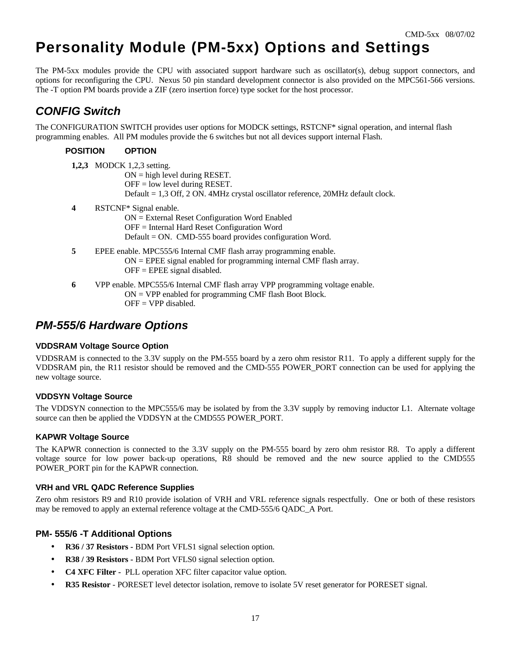## **Personality Module (PM-5xx) Options and Settings**

The PM-5xx modules provide the CPU with associated support hardware such as oscillator(s), debug support connectors, and options for reconfiguring the CPU. Nexus 50 pin standard development connector is also provided on the MPC561-566 versions. The -T option PM boards provide a ZIF (zero insertion force) type socket for the host processor.

### *CONFIG Switch*

The CONFIGURATION SWITCH provides user options for MODCK settings, RSTCNF\* signal operation, and internal flash programming enables. All PM modules provide the 6 switches but not all devices support internal Flash.

#### **POSITION OPTION**

**1,2,3** MODCK 1,2,3 setting.

 $ON = high level during RESET.$  $OFF = low level during RESET.$ Default = 1,3 Off, 2 ON. 4MHz crystal oscillator reference, 20MHz default clock.

**4** RSTCNF\* Signal enable.

ON = External Reset Configuration Word Enabled OFF = Internal Hard Reset Configuration Word Default = ON. CMD-555 board provides configuration Word.

- **5** EPEE enable. MPC555/6 Internal CMF flash array programming enable.  $ON = EPEE$  signal enabled for programming internal CMF flash array. OFF = EPEE signal disabled.
- **6** VPP enable. MPC555/6 Internal CMF flash array VPP programming voltage enable.  $ON = VPP$  enabled for programming CMF flash Boot Block.  $OFF = VPP$  disabled.

### *PM-555/6 Hardware Options*

#### **VDDSRAM Voltage Source Option**

VDDSRAM is connected to the 3.3V supply on the PM-555 board by a zero ohm resistor R11. To apply a different supply for the VDDSRAM pin, the R11 resistor should be removed and the CMD-555 POWER\_PORT connection can be used for applying the new voltage source.

#### **VDDSYN Voltage Source**

The VDDSYN connection to the MPC555/6 may be isolated by from the 3.3V supply by removing inductor L1. Alternate voltage source can then be applied the VDDSYN at the CMD555 POWER\_PORT.

#### **KAPWR Voltage Source**

The KAPWR connection is connected to the 3.3V supply on the PM-555 board by zero ohm resistor R8. To apply a different voltage source for low power back-up operations, R8 should be removed and the new source applied to the CMD555 POWER\_PORT pin for the KAPWR connection.

#### **VRH and VRL QADC Reference Supplies**

Zero ohm resistors R9 and R10 provide isolation of VRH and VRL reference signals respectfully. One or both of these resistors may be removed to apply an external reference voltage at the CMD-555/6 QADC\_A Port.

#### **PM- 555/6 -T Additional Options**

- **R36 / 37 Resistors -** BDM Port VFLS1 signal selection option.
- **R38 / 39 Resistors -** BDM Port VFLS0 signal selection option.
- **C4 XFC Filter** PLL operation XFC filter capacitor value option.
- **R35 Resistor** PORESET level detector isolation, remove to isolate 5V reset generator for PORESET signal.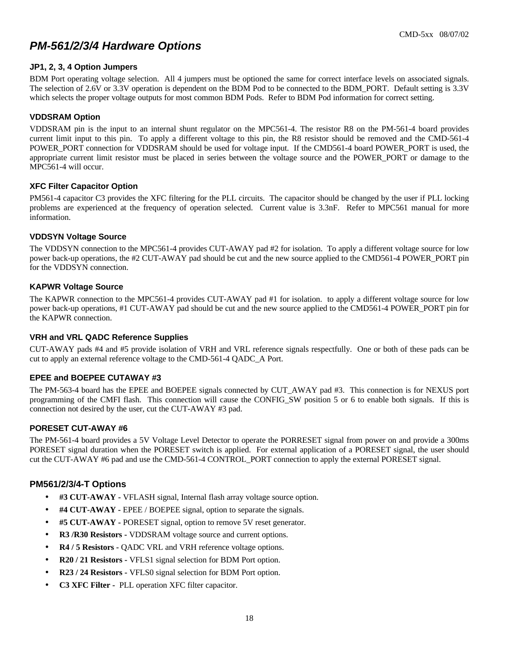### *PM-561/2/3/4 Hardware Options*

#### **JP1, 2, 3, 4 Option Jumpers**

BDM Port operating voltage selection. All 4 jumpers must be optioned the same for correct interface levels on associated signals. The selection of 2.6V or 3.3V operation is dependent on the BDM Pod to be connected to the BDM\_PORT. Default setting is 3.3V which selects the proper voltage outputs for most common BDM Pods. Refer to BDM Pod information for correct setting.

#### **VDDSRAM Option**

VDDSRAM pin is the input to an internal shunt regulator on the MPC561-4. The resistor R8 on the PM-561-4 board provides current limit input to this pin. To apply a different voltage to this pin, the R8 resistor should be removed and the CMD-561-4 POWER PORT connection for VDDSRAM should be used for voltage input. If the CMD561-4 board POWER PORT is used, the appropriate current limit resistor must be placed in series between the voltage source and the POWER\_PORT or damage to the MPC561-4 will occur.

#### **XFC Filter Capacitor Option**

PM561-4 capacitor C3 provides the XFC filtering for the PLL circuits. The capacitor should be changed by the user if PLL locking problems are experienced at the frequency of operation selected. Current value is 3.3nF. Refer to MPC561 manual for more information.

#### **VDDSYN Voltage Source**

The VDDSYN connection to the MPC561-4 provides CUT-AWAY pad #2 for isolation. To apply a different voltage source for low power back-up operations, the #2 CUT-AWAY pad should be cut and the new source applied to the CMD561-4 POWER\_PORT pin for the VDDSYN connection.

#### **KAPWR Voltage Source**

The KAPWR connection to the MPC561-4 provides CUT-AWAY pad #1 for isolation. to apply a different voltage source for low power back-up operations, #1 CUT-AWAY pad should be cut and the new source applied to the CMD561-4 POWER\_PORT pin for the KAPWR connection.

#### **VRH and VRL QADC Reference Supplies**

CUT-AWAY pads #4 and #5 provide isolation of VRH and VRL reference signals respectfully. One or both of these pads can be cut to apply an external reference voltage to the CMD-561-4 QADC\_A Port.

#### **EPEE and BOEPEE CUTAWAY #3**

The PM-563-4 board has the EPEE and BOEPEE signals connected by CUT\_AWAY pad #3. This connection is for NEXUS port programming of the CMFI flash. This connection will cause the CONFIG\_SW position 5 or 6 to enable both signals. If this is connection not desired by the user, cut the CUT-AWAY #3 pad.

#### **PORESET CUT-AWAY #6**

The PM-561-4 board provides a 5V Voltage Level Detector to operate the PORRESET signal from power on and provide a 300ms PORESET signal duration when the PORESET switch is applied. For external application of a PORESET signal, the user should cut the CUT-AWAY #6 pad and use the CMD-561-4 CONTROL\_PORT connection to apply the external PORESET signal.

#### **PM561/2/3/4-T Options**

- **#3 CUT-AWAY** VFLASH signal, Internal flash array voltage source option.
- **#4 CUT-AWAY** EPEE / BOEPEE signal, option to separate the signals.
- **#5 CUT-AWAY** PORESET signal, option to remove 5V reset generator.
- **R3 /R30 Resistors -** VDDSRAM voltage source and current options.
- **R4 / 5 Resistors -** QADC VRL and VRH reference voltage options.
- **R20 / 21 Resistors -** VFLS1 signal selection for BDM Port option.
- **R23 / 24 Resistors -** VFLS0 signal selection for BDM Port option.
- **C3 XFC Filter** PLL operation XFC filter capacitor.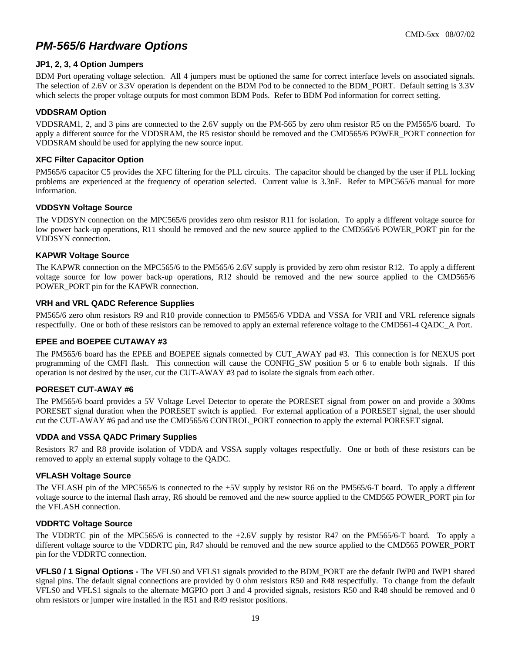## *PM-565/6 Hardware Options*

#### **JP1, 2, 3, 4 Option Jumpers**

BDM Port operating voltage selection. All 4 jumpers must be optioned the same for correct interface levels on associated signals. The selection of 2.6V or 3.3V operation is dependent on the BDM Pod to be connected to the BDM\_PORT. Default setting is 3.3V which selects the proper voltage outputs for most common BDM Pods. Refer to BDM Pod information for correct setting.

#### **VDDSRAM Option**

VDDSRAM1, 2, and 3 pins are connected to the 2.6V supply on the PM-565 by zero ohm resistor R5 on the PM565/6 board. To apply a different source for the VDDSRAM, the R5 resistor should be removed and the CMD565/6 POWER\_PORT connection for VDDSRAM should be used for applying the new source input.

#### **XFC Filter Capacitor Option**

PM565/6 capacitor C5 provides the XFC filtering for the PLL circuits. The capacitor should be changed by the user if PLL locking problems are experienced at the frequency of operation selected. Current value is 3.3nF. Refer to MPC565/6 manual for more information.

#### **VDDSYN Voltage Source**

The VDDSYN connection on the MPC565/6 provides zero ohm resistor R11 for isolation. To apply a different voltage source for low power back-up operations, R11 should be removed and the new source applied to the CMD565/6 POWER\_PORT pin for the VDDSYN connection.

#### **KAPWR Voltage Source**

The KAPWR connection on the MPC565/6 to the PM565/6 2.6V supply is provided by zero ohm resistor R12. To apply a different voltage source for low power back-up operations, R12 should be removed and the new source applied to the CMD565/6 POWER\_PORT pin for the KAPWR connection.

#### **VRH and VRL QADC Reference Supplies**

PM565/6 zero ohm resistors R9 and R10 provide connection to PM565/6 VDDA and VSSA for VRH and VRL reference signals respectfully. One or both of these resistors can be removed to apply an external reference voltage to the CMD561-4 QADC\_A Port.

#### **EPEE and BOEPEE CUTAWAY #3**

The PM565/6 board has the EPEE and BOEPEE signals connected by CUT\_AWAY pad #3. This connection is for NEXUS port programming of the CMFI flash. This connection will cause the CONFIG\_SW position 5 or 6 to enable both signals. If this operation is not desired by the user, cut the CUT-AWAY #3 pad to isolate the signals from each other.

#### **PORESET CUT-AWAY #6**

The PM565/6 board provides a 5V Voltage Level Detector to operate the PORESET signal from power on and provide a 300ms PORESET signal duration when the PORESET switch is applied. For external application of a PORESET signal, the user should cut the CUT-AWAY #6 pad and use the CMD565/6 CONTROL\_PORT connection to apply the external PORESET signal.

#### **VDDA and VSSA QADC Primary Supplies**

Resistors R7 and R8 provide isolation of VDDA and VSSA supply voltages respectfully. One or both of these resistors can be removed to apply an external supply voltage to the QADC.

#### **VFLASH Voltage Source**

The VFLASH pin of the MPC565/6 is connected to the +5V supply by resistor R6 on the PM565/6-T board. To apply a different voltage source to the internal flash array, R6 should be removed and the new source applied to the CMD565 POWER\_PORT pin for the VFLASH connection.

#### **VDDRTC Voltage Source**

The VDDRTC pin of the MPC565/6 is connected to the +2.6V supply by resistor R47 on the PM565/6-T board. To apply a different voltage source to the VDDRTC pin, R47 should be removed and the new source applied to the CMD565 POWER\_PORT pin for the VDDRTC connection.

**VFLS0 / 1 Signal Options -** The VFLS0 and VFLS1 signals provided to the BDM\_PORT are the default IWP0 and IWP1 shared signal pins. The default signal connections are provided by 0 ohm resistors R50 and R48 respectfully. To change from the default VFLS0 and VFLS1 signals to the alternate MGPIO port 3 and 4 provided signals, resistors R50 and R48 should be removed and 0 ohm resistors or jumper wire installed in the R51 and R49 resistor positions.